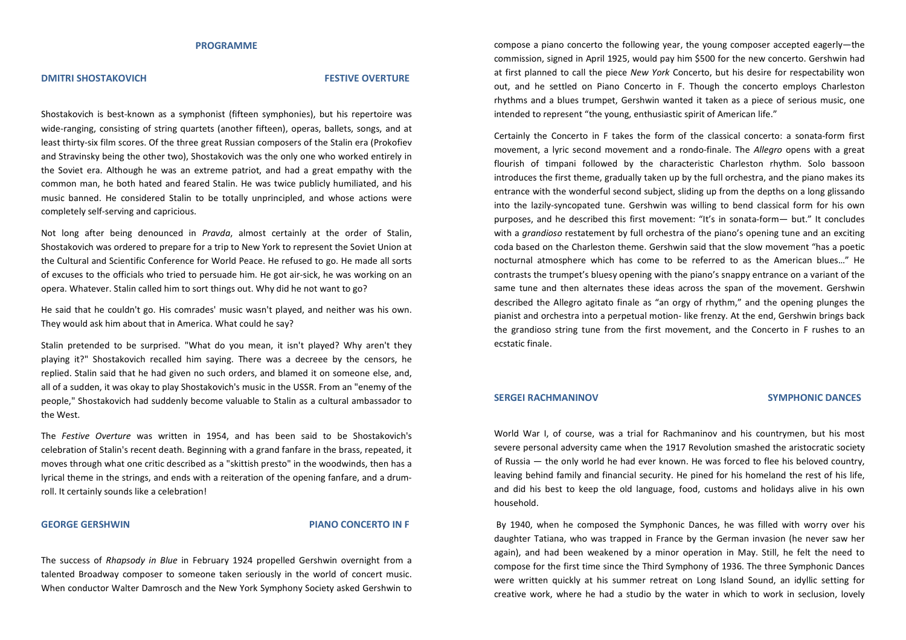#### **PROGRAMME**

#### **DMITRI SHOSTAKOVICH FESTIVE OVERTURE**

Shostakovich is best-known as a symphonist (fifteen symphonies), but his repertoire was wide-ranging, consisting of string quartets (another fifteen), operas, ballets, songs, and at least thirty-six film scores. Of the three great Russian composers of the Stalin era (Prokofiev and Stravinsky being the other two), Shostakovich was the only one who worked entirely in the Soviet era. Although he was an extreme patriot, and had a great empathy with the common man, he both hated and feared Stalin. He was twice publicly humiliated, and his music banned. He considered Stalin to be totally unprincipled, and whose actions were completely self-serving and capricious.

Not long after being denounced in *Pravda*, almost certainly at the order of Stalin, Shostakovich was ordered to prepare for a trip to New York to represent the Soviet Union at the Cultural and Scientific Conference for World Peace. He refused to go. He made all sorts of excuses to the officials who tried to persuade him. He got air-sick, he was working on an opera. Whatever. Stalin called him to sort things out. Why did he not want to go?

He said that he couldn't go. His comrades' music wasn't played, and neither was his own. They would ask him about that in America. What could he say?

Stalin pretended to be surprised. "What do you mean, it isn't played? Why aren't they playing it?" Shostakovich recalled him saying. There was a decreee by the censors, he replied. Stalin said that he had given no such orders, and blamed it on someone else, and, all of a sudden, it was okay to play Shostakovich's music in the USSR. From an "enemy of the people," Shostakovich had suddenly become valuable to Stalin as a cultural ambassador to the West.

The *Festive Overture* was written in 1954, and has been said to be Shostakovich's celebration of Stalin's recent death. Beginning with a grand fanfare in the brass, repeated, it moves through what one critic described as a "skittish presto" in the woodwinds, then has a lyrical theme in the strings, and ends with a reiteration of the opening fanfare, and a drumroll. It certainly sounds like a celebration!

#### **GEORGE GERSHWIN PIANO CONCERTO IN F**

The success of *Rhapsody in Blue* in February 1924 propelled Gershwin overnight from a talented Broadway composer to someone taken seriously in the world of concert music. When conductor Walter Damrosch and the New York Symphony Society asked Gershwin to

compose a piano concerto the following year, the young composer accepted eagerly—the commission, signed in April 1925, would pay him \$500 for the new concerto. Gershwin had at first planned to call the piece *New York* Concerto, but his desire for respectability won out, and he settled on Piano Concerto in F. Though the concerto employs Charleston rhythms and a blues trumpet, Gershwin wanted it taken as a piece of serious music, one intended to represent "the young, enthusiastic spirit of American life."

Certainly the Concerto in F takes the form of the classical concerto: a sonata-form first movement, a lyric second movement and a rondo-finale. The *Allegro* opens with a great flourish of timpani followed by the characteristic Charleston rhythm. Solo bassoon introduces the first theme, gradually taken up by the full orchestra, and the piano makes its entrance with the wonderful second subject, sliding up from the depths on a long glissando into the lazily-syncopated tune. Gershwin was willing to bend classical form for his own purposes, and he described this first movement: "It's in sonata-form— but." It concludes with a *grandioso* restatement by full orchestra of the piano's opening tune and an exciting coda based on the Charleston theme. Gershwin said that the slow movement "has a poetic nocturnal atmosphere which has come to be referred to as the American blues…" He contrasts the trumpet's bluesy opening with the piano's snappy entrance on a variant of the same tune and then alternates these ideas across the span of the movement. Gershwin described the Allegro agitato finale as "an orgy of rhythm," and the opening plunges the pianist and orchestra into a perpetual motion- like frenzy. At the end, Gershwin brings back the grandioso string tune from the first movement, and the Concerto in F rushes to an ecstatic finale.

#### **SERGEI RACHMANINOV SYMPHONIC DANCES**

World War I, of course, was a trial for Rachmaninov and his countrymen, but his most severe personal adversity came when the 1917 Revolution smashed the aristocratic society of Russia — the only world he had ever known. He was forced to flee his beloved country, leaving behind family and financial security. He pined for his homeland the rest of his life, and did his best to keep the old language, food, customs and holidays alive in his own household.

 By 1940, when he composed the Symphonic Dances, he was filled with worry over his daughter Tatiana, who was trapped in France by the German invasion (he never saw her again), and had been weakened by a minor operation in May. Still, he felt the need to compose for the first time since the Third Symphony of 1936. The three Symphonic Dances were written quickly at his summer retreat on Long Island Sound, an idyllic setting for creative work, where he had a studio by the water in which to work in seclusion, lovely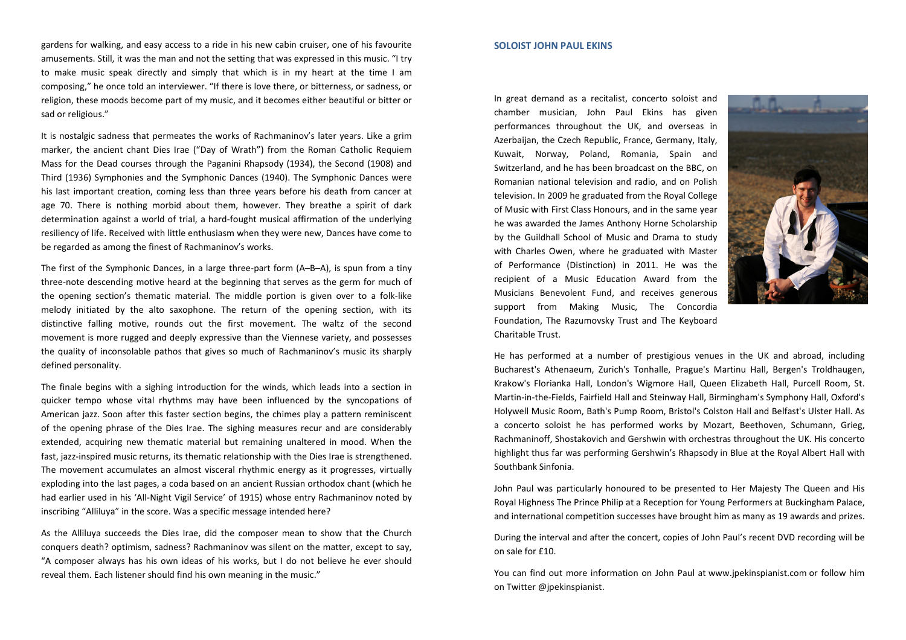gardens for walking, and easy access to a ride in his new cabin cruiser, one of his favourite amusements. Still, it was the man and not the setting that was expressed in this music. "I try to make music speak directly and simply that which is in my heart at the time I am composing," he once told an interviewer. "If there is love there, or bitterness, or sadness, or religion, these moods become part of my music, and it becomes either beautiful or bitter or sad or religious."

It is nostalgic sadness that permeates the works of Rachmaninov's later years. Like a grim marker, the ancient chant Dies Irae ("Day of Wrath") from the Roman Catholic Requiem Mass for the Dead courses through the Paganini Rhapsody (1934), the Second (1908) and Third (1936) Symphonies and the Symphonic Dances (1940). The Symphonic Dances were his last important creation, coming less than three years before his death from cancer at age 70. There is nothing morbid about them, however. They breathe a spirit of dark determination against a world of trial, a hard-fought musical affirmation of the underlying resiliency of life. Received with little enthusiasm when they were new, Dances have come to be regarded as among the finest of Rachmaninov's works.

The first of the Symphonic Dances, in a large three-part form (A–B–A), is spun from a tiny three-note descending motive heard at the beginning that serves as the germ for much of the opening section's thematic material. The middle portion is given over to a folk-like melody initiated by the alto saxophone. The return of the opening section, with its distinctive falling motive, rounds out the first movement. The waltz of the second movement is more rugged and deeply expressive than the Viennese variety, and possesses the quality of inconsolable pathos that gives so much of Rachmaninov's music its sharply defined personality.

The finale begins with a sighing introduction for the winds, which leads into a section in quicker tempo whose vital rhythms may have been influenced by the syncopations of American jazz. Soon after this faster section begins, the chimes play a pattern reminiscent of the opening phrase of the Dies Irae. The sighing measures recur and are considerably extended, acquiring new thematic material but remaining unaltered in mood. When the fast, jazz-inspired music returns, its thematic relationship with the Dies Irae is strengthened. The movement accumulates an almost visceral rhythmic energy as it progresses, virtually exploding into the last pages, a coda based on an ancient Russian orthodox chant (which he had earlier used in his 'All-Night Vigil Service' of 1915) whose entry Rachmaninov noted by inscribing "Alliluya" in the score. Was a specific message intended here?

As the Alliluya succeeds the Dies Irae, did the composer mean to show that the Church conquers death? optimism, sadness? Rachmaninov was silent on the matter, except to say, "A composer always has his own ideas of his works, but I do not believe he ever should reveal them. Each listener should find his own meaning in the music."

#### **SOLOIST JOHN PAUL EKINS**

In great demand as a recitalist, concerto soloist and chamber musician, John Paul Ekins has given performances throughout the UK, and overseas in Azerbaijan, the Czech Republic, France, Germany, Italy, Kuwait, Norway, Poland, Romania, Spain and Switzerland, and he has been broadcast on the BBC, on Romanian national television and radio, and on Polish television. In 2009 he graduated from the Royal College of Music with First Class Honours, and in the same year he was awarded the James Anthony Horne Scholarship by the Guildhall School of Music and Drama to studywith Charles Owen, where he graduated with Master of Performance (Distinction) in 2011. He was the recipient of a Music Education Award from the Musicians Benevolent Fund, and receives generous support from Making Music, The Concordia Foundation, The Razumovsky Trust and The Keyboard Charitable Trust.



He has performed at a number of prestigious venues in the UK and abroad, including Bucharest's Athenaeum, Zurich's Tonhalle, Prague's Martinu Hall, Bergen's Troldhaugen, Krakow's Florianka Hall, London's Wigmore Hall, Queen Elizabeth Hall, Purcell Room, St. Martin-in-the-Fields, Fairfield Hall and Steinway Hall, Birmingham's Symphony Hall, Oxford's Holywell Music Room, Bath's Pump Room, Bristol's Colston Hall and Belfast's Ulster Hall. As a concerto soloist he has performed works by Mozart, Beethoven, Schumann, Grieg, Rachmaninoff, Shostakovich and Gershwin with orchestras throughout the UK. His concerto highlight thus far was performing Gershwin's Rhapsody in Blue at the Royal Albert Hall with Southbank Sinfonia.

John Paul was particularly honoured to be presented to Her Majesty The Queen and His Royal Highness The Prince Philip at a Reception for Young Performers at Buckingham Palace, and international competition successes have brought him as many as 19 awards and prizes.

During the interval and after the concert, copies of John Paul's recent DVD recording will be on sale for £10.

You can find out more information on John Paul at www.jpekinspianist.com or follow him on Twitter @jpekinspianist.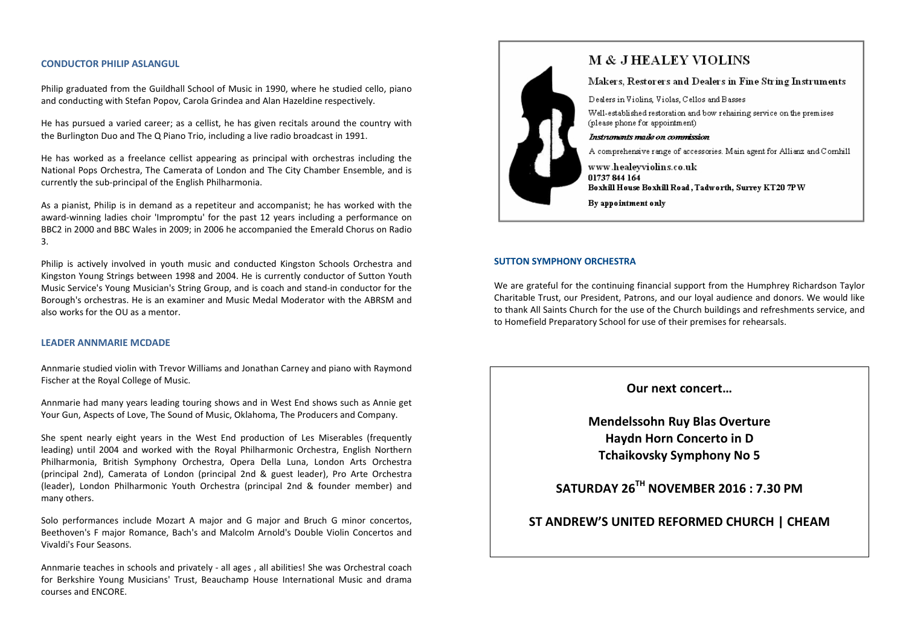#### **CONDUCTOR PHILIP ASLANGUL**

Philip graduated from the Guildhall School of Music in 1990, where he studied cello, piano and conducting with Stefan Popov, Carola Grindea and Alan Hazeldine respectively.

He has pursued a varied career; as a cellist, he has given recitals around the country with the Burlington Duo and The Q Piano Trio, including a live radio broadcast in 1991.

He has worked as a freelance cellist appearing as principal with orchestras including the National Pops Orchestra, The Camerata of London and The City Chamber Ensemble, and is currently the sub-principal of the English Philharmonia.

As a pianist, Philip is in demand as a repetiteur and accompanist; he has worked with the award-winning ladies choir 'Impromptu' for the past 12 years including a performance on BBC2 in 2000 and BBC Wales in 2009; in 2006 he accompanied the Emerald Chorus on Radio 3.

Philip is actively involved in youth music and conducted Kingston Schools Orchestra and Kingston Young Strings between 1998 and 2004. He is currently conductor of Sutton Youth Music Service's Young Musician's String Group, and is coach and stand-in conductor for the Borough's orchestras. He is an examiner and Music Medal Moderator with the ABRSM and also works for the OU as a mentor.

#### **LEADER ANNMARIE MCDADE**

Annmarie studied violin with Trevor Williams and Jonathan Carney and piano with Raymond Fischer at the Royal College of Music.

Annmarie had many years leading touring shows and in West End shows such as Annie get Your Gun, Aspects of Love, The Sound of Music, Oklahoma, The Producers and Company.

She spent nearly eight years in the West End production of Les Miserables (frequently leading) until 2004 and worked with the Royal Philharmonic Orchestra, English Northern Philharmonia, British Symphony Orchestra, Opera Della Luna, London Arts Orchestra (principal 2nd), Camerata of London (principal 2nd & guest leader), Pro Arte Orchestra (leader), London Philharmonic Youth Orchestra (principal 2nd & founder member) and many others.

Solo performances include Mozart A major and G major and Bruch G minor concertos, Beethoven's F major Romance, Bach's and Malcolm Arnold's Double Violin Concertos and Vivaldi's Four Seasons.

Annmarie teaches in schools and privately - all ages , all abilities! She was Orchestral coach for Berkshire Young Musicians' Trust, Beauchamp House International Music and drama courses and ENCORE.



# **M & J HEALEY VIOLINS**

Makers, Restorers and Dealers in Fine String Instruments

Dealers in Violins, Violas, Cellos and Basses

Well-established restoration and bow rehairing service on the premises (please phone for appointment)

#### Instruments made on commission

A comprehensive range of accessories. Main agent for Allianz and Cornhill

www.healeyviolins.co.uk 01737 844 164 Boxhill House Boxhill Road, Tadworth, Surrey KT20 7PW

By appointment only

#### **SUTTON SYMPHONY ORCHESTRA**

We are grateful for the continuing financial support from the Humphrey Richardson Taylor Charitable Trust, our President, Patrons, and our loyal audience and donors. We would like to thank All Saints Church for the use of the Church buildings and refreshments service, and to Homefield Preparatory School for use of their premises for rehearsals.

# **Our next concert…**

**Mendelssohn Ruy Blas Overture Haydn Horn Concerto in D Tchaikovsky Symphony No 5** 

**SATURDAY 26TH NOVEMBER 2016 : 7.30 PM** 

# **ST ANDREW'S UNITED REFORMED CHURCH | CHEAM**